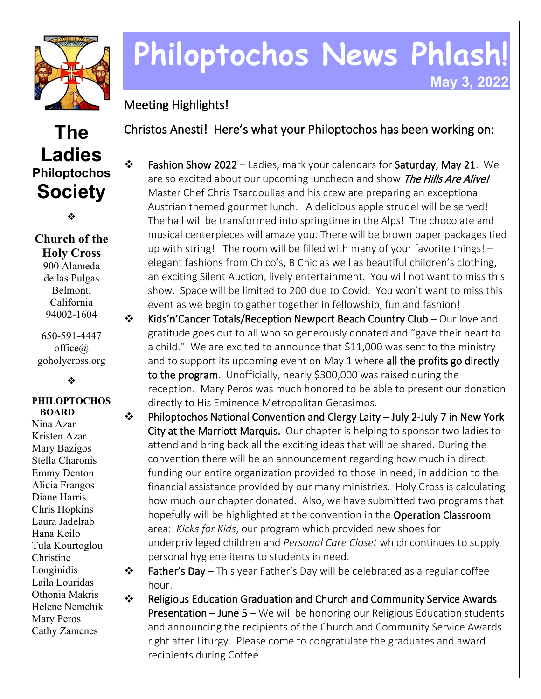

## **The Ladies Philoptochos Society**

❖

**Church of the Holy Cross** 900 Alameda de las Pulgas Belmont, California 94002-1604

650-591-4447 office@ goholycross.org

÷

## **PHILOPTOCHOS BOARD**

Nina Azar Kristen Azar Mary Bazigos Stella Charonis Emmy Denton Alicia Frangos Diane Harris Chris Hopkins Laura Jadelrab Hana Keilo Tula Kourtoglou Christine Longinidis Laila Louridas Othonia Makris Helene Nemchik Mary Peros Cathy Zamenes

## **Philoptochos News Phlash! May 3, 2022**

Meeting Highlights!

Christos Anesti! Here's what your Philoptochos has been working on:

- $\cdot \cdot$  Fashion Show 2022 Ladies, mark your calendars for Saturday, May 21. We are so excited about our upcoming luncheon and show The Hills Are Alive! Master Chef Chris Tsardoulias and his crew are preparing an exceptional Austrian themed gourmet lunch. A delicious apple strudel will be served! The hall will be transformed into springtime in the Alps! The chocolate and musical centerpieces will amaze you. There will be brown paper packages tied up with string! The room will be filled with many of your favorite things! – elegant fashions from Chico's, B Chic as well as beautiful children's clothing, an exciting Silent Auction, lively entertainment. You will not want to miss this show. Space will be limited to 200 due to Covid. You won't want to miss this event as we begin to gather together in fellowship, fun and fashion!
- $\mathbf{\hat{P}}$  Kids'n'Cancer Totals/Reception Newport Beach Country Club Our love and gratitude goes out to all who so generously donated and "gave their heart to a child." We are excited to announce that \$11,000 was sent to the ministry and to support its upcoming event on May 1 where all the profits go directly to the program. Unofficially, nearly \$300,000 was raised during the reception. Mary Peros was much honored to be able to present our donation directly to His Eminence Metropolitan Gerasimos.
- Philoptochos National Convention and Clergy Laity July 2-July 7 in New York City at the Marriott Marquis. Our chapter is helping to sponsor two ladies to attend and bring back all the exciting ideas that will be shared. During the convention there will be an announcement regarding how much in direct funding our entire organization provided to those in need, in addition to the financial assistance provided by our many ministries. Holy Cross is calculating how much our chapter donated. Also, we have submitted two programs that hopefully will be highlighted at the convention in the Operation Classroom area: *Kicks for Kids*, our program which provided new shoes for underprivileged children and *Personal Care Closet* which continues to supply personal hygiene items to students in need.
- $\triangle$  Father's Day This year Father's Day will be celebrated as a regular coffee hour.
- Religious Education Graduation and Church and Community Service Awards **Presentation – June 5** – We will be honoring our Religious Education students and announcing the recipients of the Church and Community Service Awards right after Liturgy. Please come to congratulate the graduates and award recipients during Coffee.